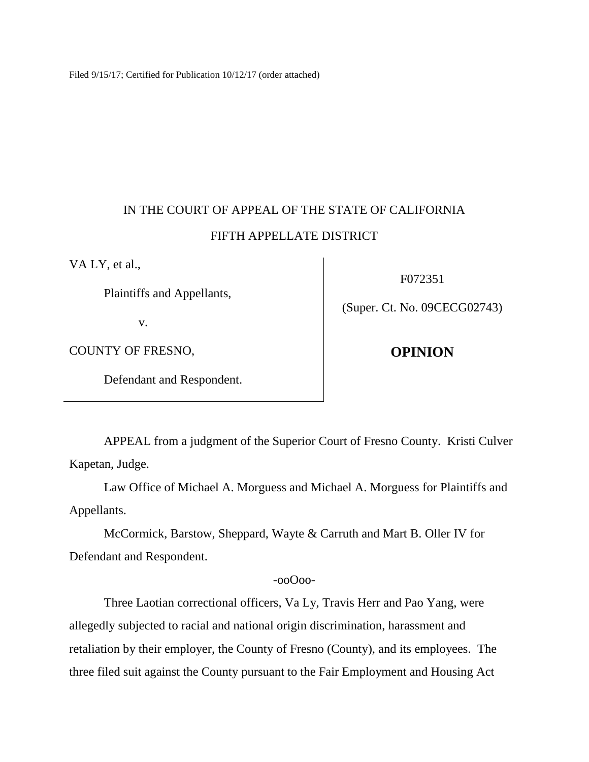Filed 9/15/17; Certified for Publication 10/12/17 (order attached)

# IN THE COURT OF APPEAL OF THE STATE OF CALIFORNIA FIFTH APPELLATE DISTRICT

VA LY, et al.,

Plaintiffs and Appellants,

v.

COUNTY OF FRESNO,

Defendant and Respondent.

F072351

(Super. Ct. No. 09CECG02743)

**OPINION**

APPEAL from a judgment of the Superior Court of Fresno County. Kristi Culver Kapetan, Judge.

Law Office of Michael A. Morguess and Michael A. Morguess for Plaintiffs and Appellants.

McCormick, Barstow, Sheppard, Wayte & Carruth and Mart B. Oller IV for Defendant and Respondent.

### -ooOoo-

Three Laotian correctional officers, Va Ly, Travis Herr and Pao Yang, were allegedly subjected to racial and national origin discrimination, harassment and retaliation by their employer, the County of Fresno (County), and its employees. The three filed suit against the County pursuant to the Fair Employment and Housing Act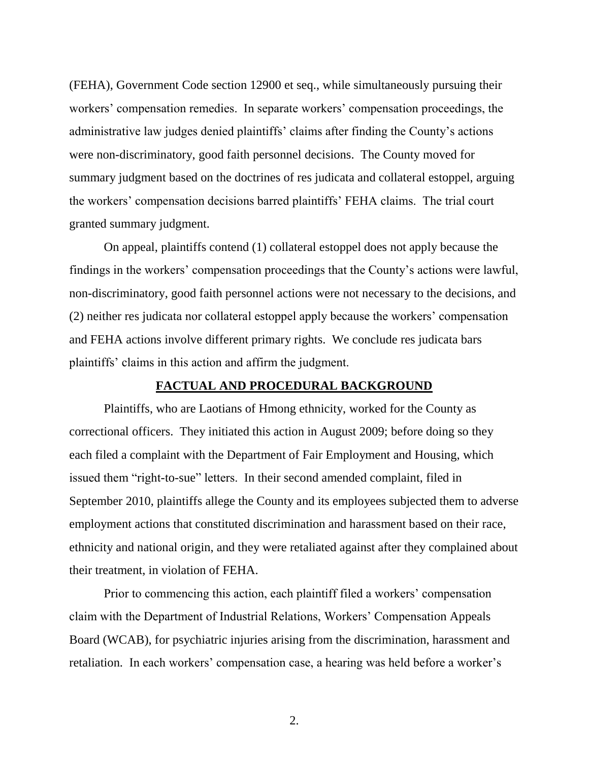(FEHA), Government Code section 12900 et seq., while simultaneously pursuing their workers' compensation remedies. In separate workers' compensation proceedings, the administrative law judges denied plaintiffs' claims after finding the County's actions were non-discriminatory, good faith personnel decisions. The County moved for summary judgment based on the doctrines of res judicata and collateral estoppel, arguing the workers' compensation decisions barred plaintiffs' FEHA claims. The trial court granted summary judgment.

On appeal, plaintiffs contend (1) collateral estoppel does not apply because the findings in the workers' compensation proceedings that the County's actions were lawful, non-discriminatory, good faith personnel actions were not necessary to the decisions, and (2) neither res judicata nor collateral estoppel apply because the workers' compensation and FEHA actions involve different primary rights. We conclude res judicata bars plaintiffs' claims in this action and affirm the judgment.

#### **FACTUAL AND PROCEDURAL BACKGROUND**

Plaintiffs, who are Laotians of Hmong ethnicity, worked for the County as correctional officers. They initiated this action in August 2009; before doing so they each filed a complaint with the Department of Fair Employment and Housing, which issued them "right-to-sue" letters. In their second amended complaint, filed in September 2010, plaintiffs allege the County and its employees subjected them to adverse employment actions that constituted discrimination and harassment based on their race, ethnicity and national origin, and they were retaliated against after they complained about their treatment, in violation of FEHA.

Prior to commencing this action, each plaintiff filed a workers' compensation claim with the Department of Industrial Relations, Workers' Compensation Appeals Board (WCAB), for psychiatric injuries arising from the discrimination, harassment and retaliation. In each workers' compensation case, a hearing was held before a worker's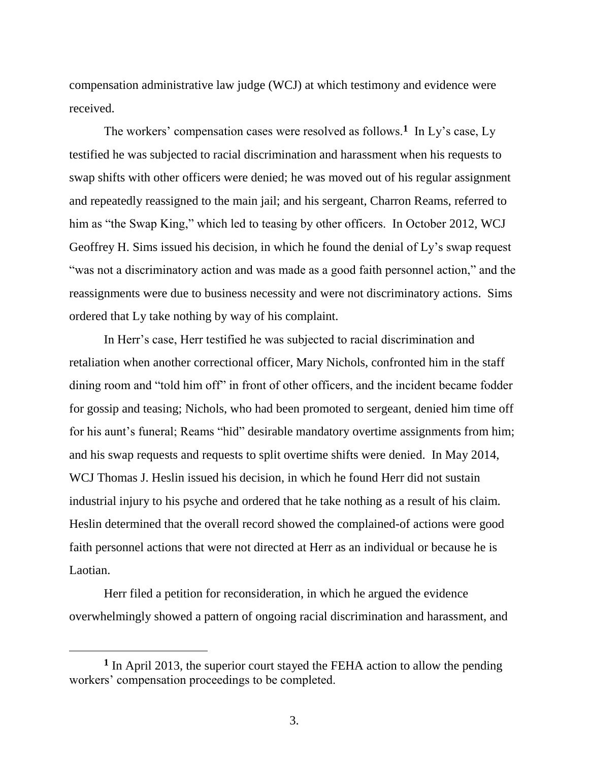compensation administrative law judge (WCJ) at which testimony and evidence were received.

The workers' compensation cases were resolved as follows.<sup>1</sup> In Ly's case, Ly testified he was subjected to racial discrimination and harassment when his requests to swap shifts with other officers were denied; he was moved out of his regular assignment and repeatedly reassigned to the main jail; and his sergeant, Charron Reams, referred to him as "the Swap King," which led to teasing by other officers. In October 2012, WCJ Geoffrey H. Sims issued his decision, in which he found the denial of Ly's swap request "was not a discriminatory action and was made as a good faith personnel action," and the reassignments were due to business necessity and were not discriminatory actions. Sims ordered that Ly take nothing by way of his complaint.

In Herr's case, Herr testified he was subjected to racial discrimination and retaliation when another correctional officer, Mary Nichols, confronted him in the staff dining room and "told him off" in front of other officers, and the incident became fodder for gossip and teasing; Nichols, who had been promoted to sergeant, denied him time off for his aunt's funeral; Reams "hid" desirable mandatory overtime assignments from him; and his swap requests and requests to split overtime shifts were denied. In May 2014, WCJ Thomas J. Heslin issued his decision, in which he found Herr did not sustain industrial injury to his psyche and ordered that he take nothing as a result of his claim. Heslin determined that the overall record showed the complained-of actions were good faith personnel actions that were not directed at Herr as an individual or because he is Laotian.

Herr filed a petition for reconsideration, in which he argued the evidence overwhelmingly showed a pattern of ongoing racial discrimination and harassment, and

 $\overline{a}$ 

**<sup>1</sup>** In April 2013, the superior court stayed the FEHA action to allow the pending workers' compensation proceedings to be completed.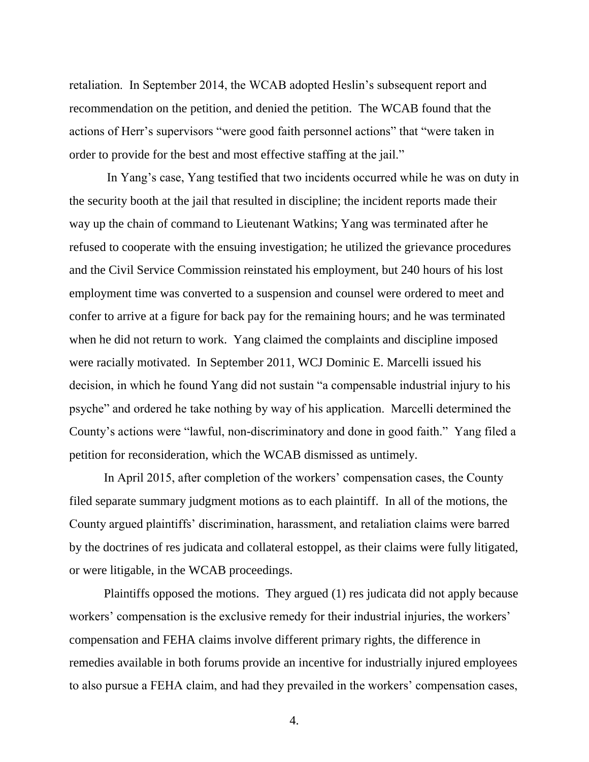retaliation. In September 2014, the WCAB adopted Heslin's subsequent report and recommendation on the petition, and denied the petition. The WCAB found that the actions of Herr's supervisors "were good faith personnel actions" that "were taken in order to provide for the best and most effective staffing at the jail."

In Yang's case, Yang testified that two incidents occurred while he was on duty in the security booth at the jail that resulted in discipline; the incident reports made their way up the chain of command to Lieutenant Watkins; Yang was terminated after he refused to cooperate with the ensuing investigation; he utilized the grievance procedures and the Civil Service Commission reinstated his employment, but 240 hours of his lost employment time was converted to a suspension and counsel were ordered to meet and confer to arrive at a figure for back pay for the remaining hours; and he was terminated when he did not return to work. Yang claimed the complaints and discipline imposed were racially motivated. In September 2011, WCJ Dominic E. Marcelli issued his decision, in which he found Yang did not sustain "a compensable industrial injury to his psyche" and ordered he take nothing by way of his application. Marcelli determined the County's actions were "lawful, non-discriminatory and done in good faith." Yang filed a petition for reconsideration, which the WCAB dismissed as untimely.

In April 2015, after completion of the workers' compensation cases, the County filed separate summary judgment motions as to each plaintiff. In all of the motions, the County argued plaintiffs' discrimination, harassment, and retaliation claims were barred by the doctrines of res judicata and collateral estoppel, as their claims were fully litigated, or were litigable, in the WCAB proceedings.

Plaintiffs opposed the motions. They argued (1) res judicata did not apply because workers' compensation is the exclusive remedy for their industrial injuries, the workers' compensation and FEHA claims involve different primary rights, the difference in remedies available in both forums provide an incentive for industrially injured employees to also pursue a FEHA claim, and had they prevailed in the workers' compensation cases,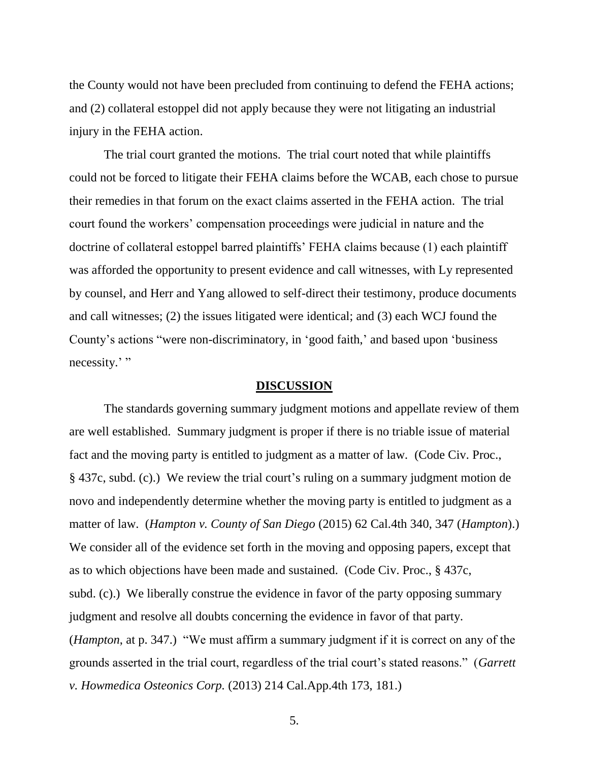the County would not have been precluded from continuing to defend the FEHA actions; and (2) collateral estoppel did not apply because they were not litigating an industrial injury in the FEHA action.

The trial court granted the motions. The trial court noted that while plaintiffs could not be forced to litigate their FEHA claims before the WCAB, each chose to pursue their remedies in that forum on the exact claims asserted in the FEHA action. The trial court found the workers' compensation proceedings were judicial in nature and the doctrine of collateral estoppel barred plaintiffs' FEHA claims because (1) each plaintiff was afforded the opportunity to present evidence and call witnesses, with Ly represented by counsel, and Herr and Yang allowed to self-direct their testimony, produce documents and call witnesses; (2) the issues litigated were identical; and (3) each WCJ found the County's actions "were non-discriminatory, in 'good faith,' and based upon 'business necessity.'"

#### **DISCUSSION**

The standards governing summary judgment motions and appellate review of them are well established. Summary judgment is proper if there is no triable issue of material fact and the moving party is entitled to judgment as a matter of law. (Code Civ. Proc., § 437c, subd. (c).) We review the trial court's ruling on a summary judgment motion de novo and independently determine whether the moving party is entitled to judgment as a matter of law. (*Hampton v. County of San Diego* (2015) 62 Cal.4th 340, 347 (*Hampton*).) We consider all of the evidence set forth in the moving and opposing papers, except that as to which objections have been made and sustained. (Code Civ. Proc., § 437c, subd. (c).) We liberally construe the evidence in favor of the party opposing summary judgment and resolve all doubts concerning the evidence in favor of that party. (*Hampton*, at p. 347.) "We must affirm a summary judgment if it is correct on any of the grounds asserted in the trial court, regardless of the trial court's stated reasons." (*Garrett v. Howmedica Osteonics Corp.* (2013) 214 Cal.App.4th 173, 181.)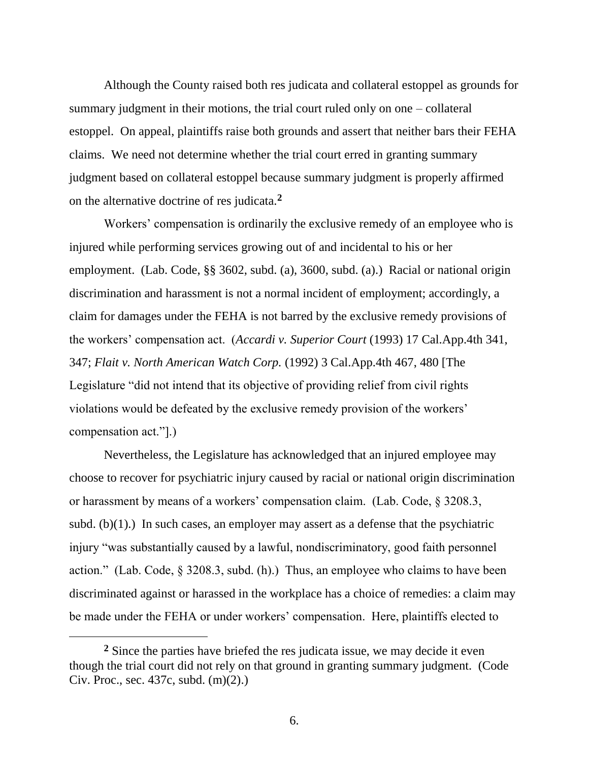Although the County raised both res judicata and collateral estoppel as grounds for summary judgment in their motions, the trial court ruled only on one – collateral estoppel. On appeal, plaintiffs raise both grounds and assert that neither bars their FEHA claims. We need not determine whether the trial court erred in granting summary judgment based on collateral estoppel because summary judgment is properly affirmed on the alternative doctrine of res judicata.**<sup>2</sup>**

Workers' compensation is ordinarily the exclusive remedy of an employee who is injured while performing services growing out of and incidental to his or her employment. (Lab. Code, §§ 3602, subd. (a), 3600, subd. (a).) Racial or national origin discrimination and harassment is not a normal incident of employment; accordingly, a claim for damages under the FEHA is not barred by the exclusive remedy provisions of the workers' compensation act. (*Accardi v. Superior Court* (1993) 17 Cal.App.4th 341, 347; *Flait v. North American Watch Corp.* (1992) 3 Cal.App.4th 467, 480 [The Legislature "did not intend that its objective of providing relief from civil rights violations would be defeated by the exclusive remedy provision of the workers' compensation act."].)

Nevertheless, the Legislature has acknowledged that an injured employee may choose to recover for psychiatric injury caused by racial or national origin discrimination or harassment by means of a workers' compensation claim. (Lab. Code, § 3208.3, subd. (b) $(1)$ .) In such cases, an employer may assert as a defense that the psychiatric injury "was substantially caused by a lawful, nondiscriminatory, good faith personnel action." (Lab. Code, § 3208.3, subd. (h).) Thus, an employee who claims to have been discriminated against or harassed in the workplace has a choice of remedies: a claim may be made under the FEHA or under workers' compensation. Here, plaintiffs elected to

 $\overline{a}$ 

**<sup>2</sup>** Since the parties have briefed the res judicata issue, we may decide it even though the trial court did not rely on that ground in granting summary judgment. (Code Civ. Proc., sec. 437c, subd. (m)(2).)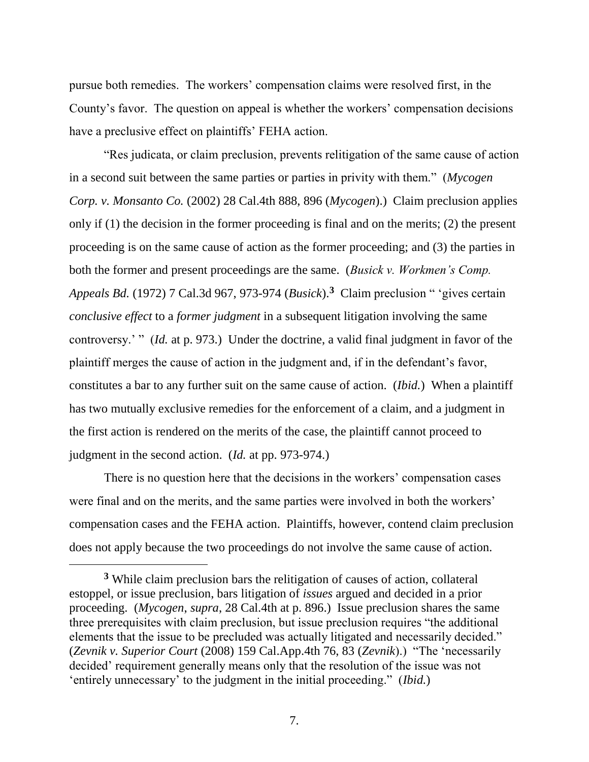pursue both remedies. The workers' compensation claims were resolved first, in the County's favor. The question on appeal is whether the workers' compensation decisions have a preclusive effect on plaintiffs' FEHA action.

"Res judicata, or claim preclusion, prevents relitigation of the same cause of action in a second suit between the same parties or parties in privity with them." (*Mycogen Corp. v. Monsanto Co.* (2002) 28 Cal.4th 888, 896 (*Mycogen*).) Claim preclusion applies only if (1) the decision in the former proceeding is final and on the merits; (2) the present proceeding is on the same cause of action as the former proceeding; and (3) the parties in both the former and present proceedings are the same. (*Busick v. Workmen's Comp. Appeals Bd.* (1972) 7 Cal.3d 967, 973-974 (*Busick*).**<sup>3</sup>** Claim preclusion " 'gives certain *conclusive effect* to a *former judgment* in a subsequent litigation involving the same controversy.' " (*Id.* at p. 973.) Under the doctrine, a valid final judgment in favor of the plaintiff merges the cause of action in the judgment and, if in the defendant's favor, constitutes a bar to any further suit on the same cause of action. (*Ibid.*) When a plaintiff has two mutually exclusive remedies for the enforcement of a claim, and a judgment in the first action is rendered on the merits of the case, the plaintiff cannot proceed to judgment in the second action. (*Id.* at pp. 973-974.)

There is no question here that the decisions in the workers' compensation cases were final and on the merits, and the same parties were involved in both the workers' compensation cases and the FEHA action. Plaintiffs, however, contend claim preclusion does not apply because the two proceedings do not involve the same cause of action.

**<sup>3</sup>** While claim preclusion bars the relitigation of causes of action, collateral estoppel, or issue preclusion, bars litigation of *issues* argued and decided in a prior proceeding. (*Mycogen*, *supra*, 28 Cal.4th at p. 896.) Issue preclusion shares the same three prerequisites with claim preclusion, but issue preclusion requires "the additional elements that the issue to be precluded was actually litigated and necessarily decided." (*Zevnik v. Superior Court* (2008) 159 Cal.App.4th 76, 83 (*Zevnik*).) "The 'necessarily decided' requirement generally means only that the resolution of the issue was not 'entirely unnecessary' to the judgment in the initial proceeding." (*Ibid.*)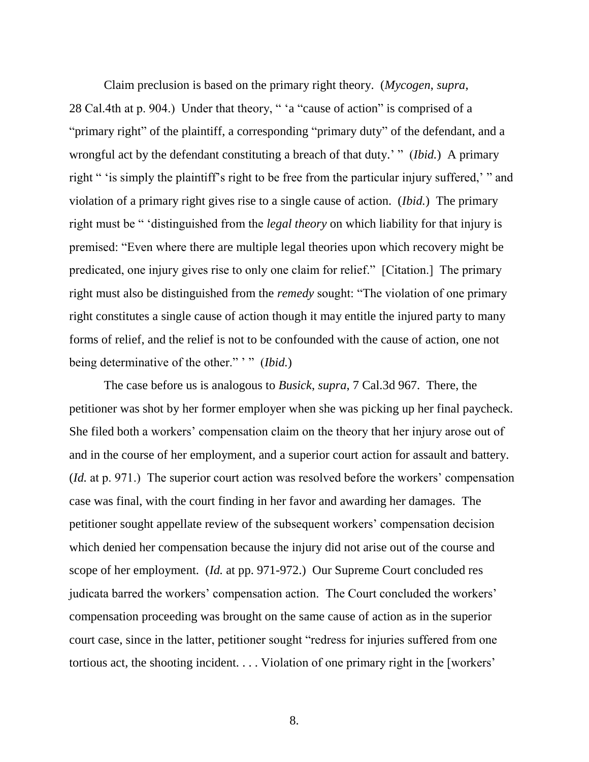Claim preclusion is based on the primary right theory. (*Mycogen*, *supra*, 28 Cal.4th at p. 904.) Under that theory, " 'a "cause of action" is comprised of a "primary right" of the plaintiff, a corresponding "primary duty" of the defendant, and a wrongful act by the defendant constituting a breach of that duty.' " (*Ibid.*) A primary right " 'is simply the plaintiff's right to be free from the particular injury suffered,' " and violation of a primary right gives rise to a single cause of action. (*Ibid.*) The primary right must be " 'distinguished from the *legal theory* on which liability for that injury is premised: "Even where there are multiple legal theories upon which recovery might be predicated, one injury gives rise to only one claim for relief." [Citation.] The primary right must also be distinguished from the *remedy* sought: "The violation of one primary right constitutes a single cause of action though it may entitle the injured party to many forms of relief, and the relief is not to be confounded with the cause of action, one not being determinative of the other." ' " (*Ibid.*)

The case before us is analogous to *Busick*, *supra*, 7 Cal.3d 967. There, the petitioner was shot by her former employer when she was picking up her final paycheck. She filed both a workers' compensation claim on the theory that her injury arose out of and in the course of her employment, and a superior court action for assault and battery. (*Id.* at p. 971.) The superior court action was resolved before the workers' compensation case was final, with the court finding in her favor and awarding her damages. The petitioner sought appellate review of the subsequent workers' compensation decision which denied her compensation because the injury did not arise out of the course and scope of her employment. (*Id.* at pp. 971-972.) Our Supreme Court concluded res judicata barred the workers' compensation action. The Court concluded the workers' compensation proceeding was brought on the same cause of action as in the superior court case, since in the latter, petitioner sought "redress for injuries suffered from one tortious act, the shooting incident. . . . Violation of one primary right in the [workers'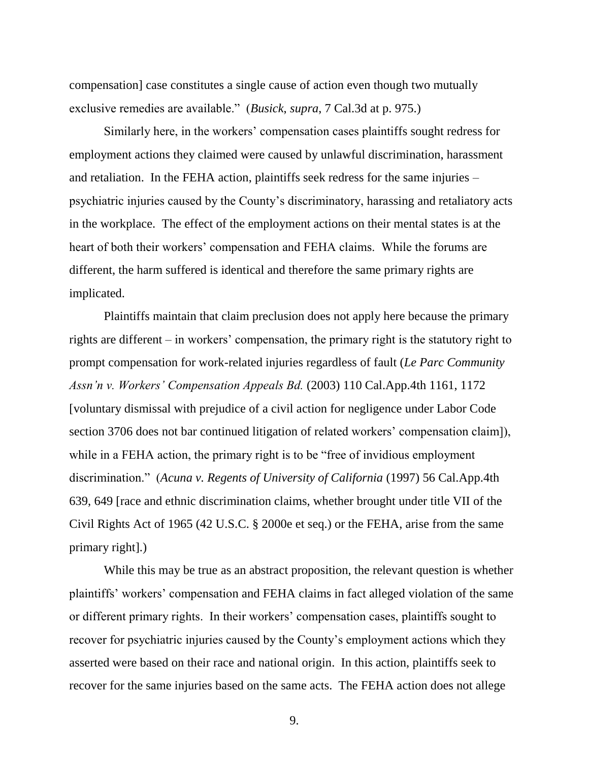compensation] case constitutes a single cause of action even though two mutually exclusive remedies are available." (*Busick*, *supra*, 7 Cal.3d at p. 975.)

Similarly here, in the workers' compensation cases plaintiffs sought redress for employment actions they claimed were caused by unlawful discrimination, harassment and retaliation. In the FEHA action, plaintiffs seek redress for the same injuries – psychiatric injuries caused by the County's discriminatory, harassing and retaliatory acts in the workplace. The effect of the employment actions on their mental states is at the heart of both their workers' compensation and FEHA claims. While the forums are different, the harm suffered is identical and therefore the same primary rights are implicated.

Plaintiffs maintain that claim preclusion does not apply here because the primary rights are different – in workers' compensation, the primary right is the statutory right to prompt compensation for work-related injuries regardless of fault (*Le Parc Community Assn'n v. Workers' Compensation Appeals Bd.* (2003) 110 Cal.App.4th 1161, 1172 [voluntary dismissal with prejudice of a civil action for negligence under Labor Code section 3706 does not bar continued litigation of related workers' compensation claim]), while in a FEHA action, the primary right is to be "free of invidious employment discrimination." (*Acuna v. Regents of University of California* (1997) 56 Cal.App.4th 639, 649 [race and ethnic discrimination claims, whether brought under title VII of the Civil Rights Act of 1965 (42 U.S.C. § 2000e et seq.) or the FEHA, arise from the same primary right].)

While this may be true as an abstract proposition, the relevant question is whether plaintiffs' workers' compensation and FEHA claims in fact alleged violation of the same or different primary rights. In their workers' compensation cases, plaintiffs sought to recover for psychiatric injuries caused by the County's employment actions which they asserted were based on their race and national origin. In this action, plaintiffs seek to recover for the same injuries based on the same acts. The FEHA action does not allege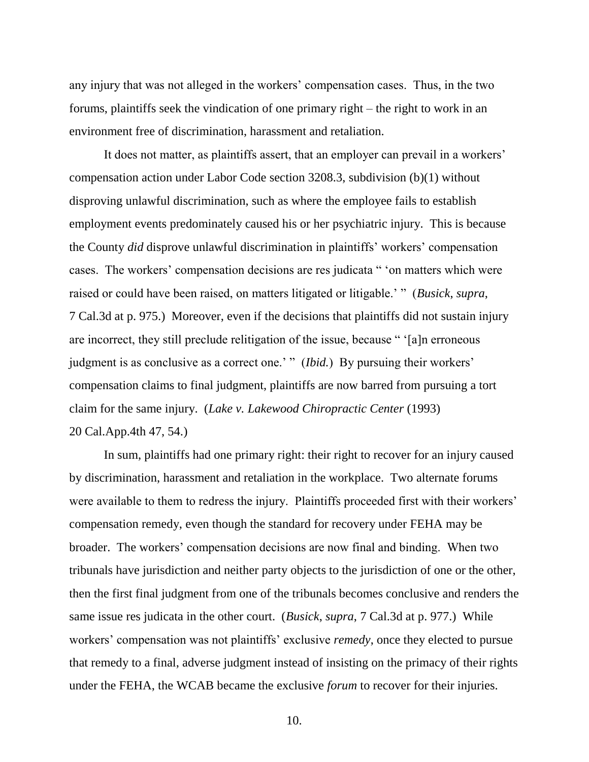any injury that was not alleged in the workers' compensation cases. Thus, in the two forums, plaintiffs seek the vindication of one primary right – the right to work in an environment free of discrimination, harassment and retaliation.

It does not matter, as plaintiffs assert, that an employer can prevail in a workers' compensation action under Labor Code section 3208.3, subdivision (b)(1) without disproving unlawful discrimination, such as where the employee fails to establish employment events predominately caused his or her psychiatric injury. This is because the County *did* disprove unlawful discrimination in plaintiffs' workers' compensation cases. The workers' compensation decisions are res judicata " 'on matters which were raised or could have been raised, on matters litigated or litigable.' " (*Busick*, *supra*, 7 Cal.3d at p. 975.) Moreover, even if the decisions that plaintiffs did not sustain injury are incorrect, they still preclude relitigation of the issue, because " '[a]n erroneous judgment is as conclusive as a correct one.' " (*Ibid.*) By pursuing their workers' compensation claims to final judgment, plaintiffs are now barred from pursuing a tort claim for the same injury. (*Lake v. Lakewood Chiropractic Center* (1993) 20 Cal.App.4th 47, 54.)

In sum, plaintiffs had one primary right: their right to recover for an injury caused by discrimination, harassment and retaliation in the workplace. Two alternate forums were available to them to redress the injury. Plaintiffs proceeded first with their workers' compensation remedy, even though the standard for recovery under FEHA may be broader. The workers' compensation decisions are now final and binding. When two tribunals have jurisdiction and neither party objects to the jurisdiction of one or the other, then the first final judgment from one of the tribunals becomes conclusive and renders the same issue res judicata in the other court. (*Busick*, *supra*, 7 Cal.3d at p. 977.) While workers' compensation was not plaintiffs' exclusive *remedy*, once they elected to pursue that remedy to a final, adverse judgment instead of insisting on the primacy of their rights under the FEHA, the WCAB became the exclusive *forum* to recover for their injuries.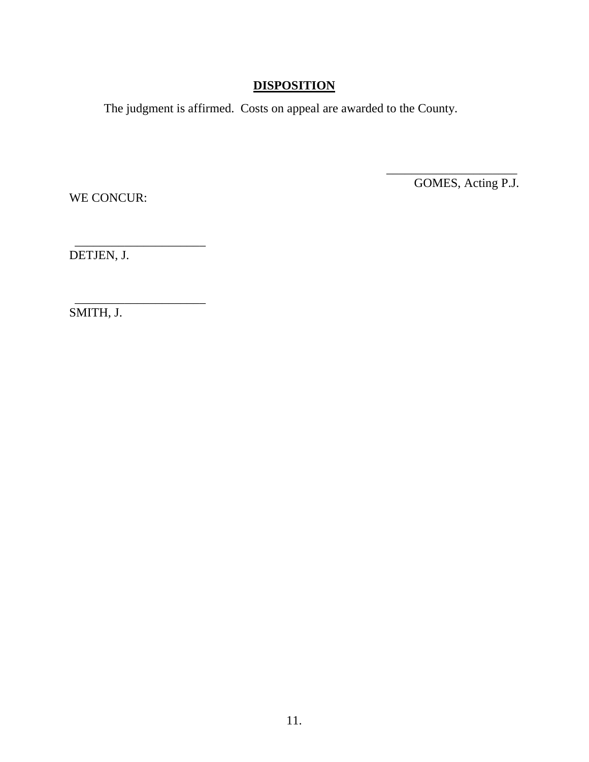# **DISPOSITION**

The judgment is affirmed. Costs on appeal are awarded to the County.

WE CONCUR:

GOMES, Acting P.J.

\_\_\_\_\_\_\_\_\_\_\_\_\_\_\_\_\_\_\_\_\_

\_\_\_\_\_\_\_\_\_\_\_\_\_\_\_\_\_\_\_\_\_ DETJEN, J.

SMITH, J.

\_\_\_\_\_\_\_\_\_\_\_\_\_\_\_\_\_\_\_\_\_